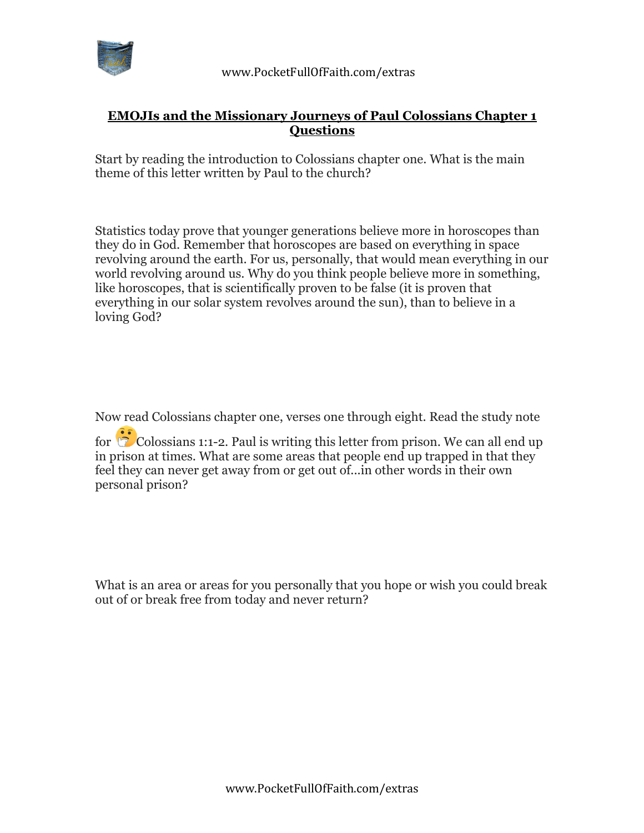

## **EMOJIs and the Missionary Journeys of Paul Colossians Chapter 1 Questions**

Start by reading the introduction to Colossians chapter one. What is the main theme of this letter written by Paul to the church?

Statistics today prove that younger generations believe more in horoscopes than they do in God. Remember that horoscopes are based on everything in space revolving around the earth. For us, personally, that would mean everything in our world revolving around us. Why do you think people believe more in something, like horoscopes, that is scientifically proven to be false (it is proven that everything in our solar system revolves around the sun), than to believe in a loving God?

Now read Colossians chapter one, verses one through eight. Read the study note

for  $\circled{c}$  Colossians 1:1-2. Paul is writing this letter from prison. We can all end up in prison at times. What are some areas that people end up trapped in that they feel they can never get away from or get out of...in other words in their own personal prison?

What is an area or areas for you personally that you hope or wish you could break out of or break free from today and never return?